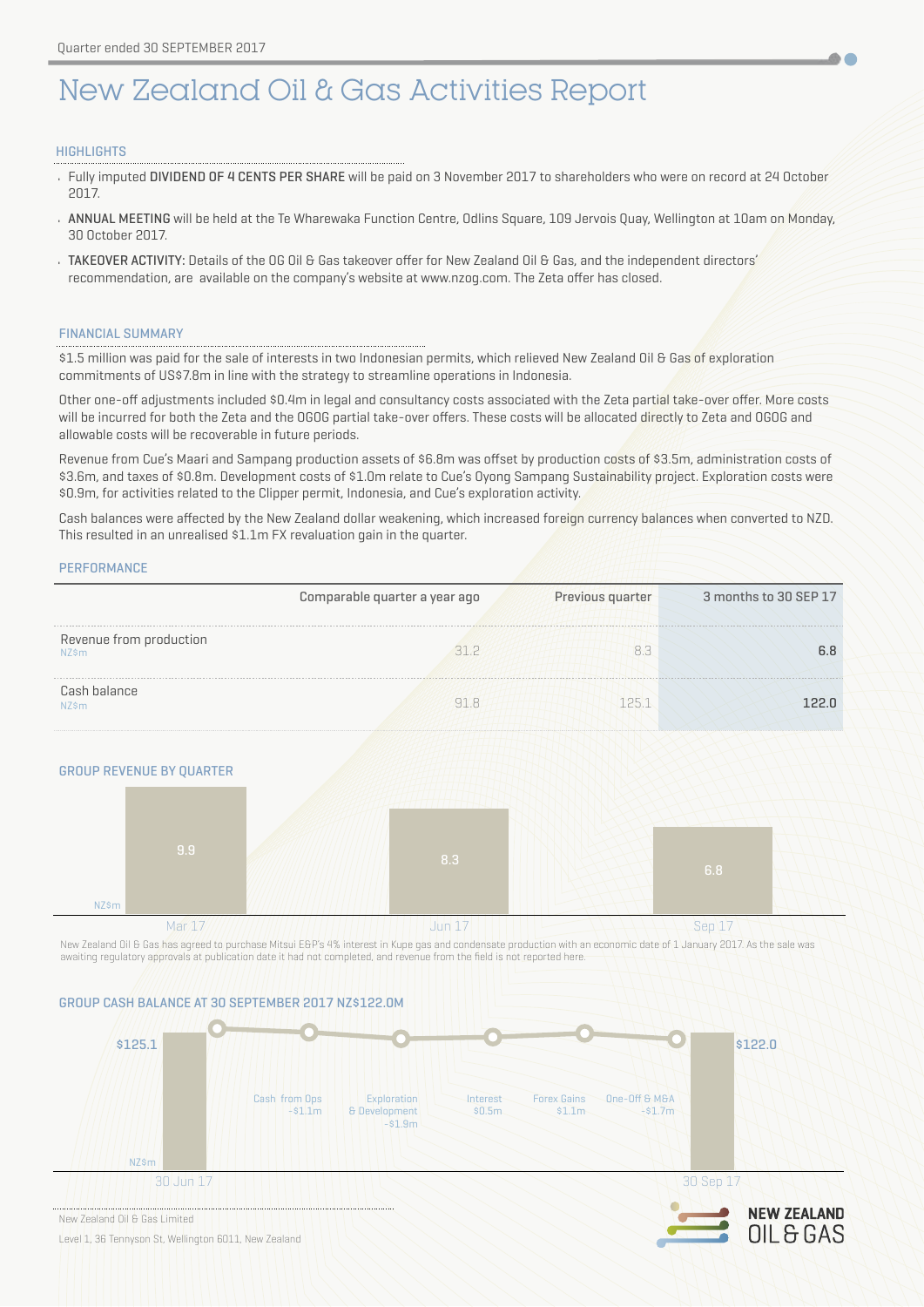# New Zealand Oil & Gas Activities Report

## **HIGHLIGHTS**

• Fully imputed DIVIDEND OF 4 CENTS PER SHARE will be paid on 3 November 2017 to shareholders who were on record at 24 October 2017.

A.

OIL & GAS

- ANNUAL MEETING will be held at the Te Wharewaka Function Centre, Odlins Square, 109 Jervois Quay, Wellington at 10am on Monday, 30 October 2017.
- TAKEOVER ACTIVITY: Details of the OG Oil & Gas takeover offer for New Zealand Oil & Gas, and the independent directors' recommendation, are available on the company's website at [www.nzog.com](http://www.nzog.com). The Zeta offer has closed.

## FINANCIAL SUMMARY

\$1.5 million was paid for the sale of interests in two Indonesian permits, which relieved New Zealand Oil & Gas of exploration commitments of US\$7.8m in line with the strategy to streamline operations in Indonesia.

Other one-off adjustments included \$0.4m in legal and consultancy costs associated with the Zeta partial take-over offer. More costs will be incurred for both the Zeta and the OGOG partial take-over offers. These costs will be allocated directly to Zeta and OGOG and allowable costs will be recoverable in future periods.

Revenue from Cue's Maari and Sampang production assets of \$6.8m was offset by production costs of \$3.5m, administration costs of \$3.6m, and taxes of \$0.8m. Development costs of \$1.0m relate to Cue's Oyong Sampang Sustainability project. Exploration costs were \$0.9m, for activities related to the Clipper permit, Indonesia, and Cue's exploration activity.

Cash balances were affected by the New Zealand dollar weakening, which increased foreign currency balances when converted to NZD. This resulted in an unrealised \$1.1m FX revaluation gain in the quarter.

**PERFORMANCE** 



## GROUP REVENUE BY QUARTER



New Zealand Oil & Gas has agreed to purchase Mitsui E&P's 4% interest in Kupe gas and condensate production with an economic date of 1 January 2017. As the sale was awaiting regulatory approvals at publication date it had not completed, and revenue from the field is not reported here.

## GROUP CASH BALANCE AT 30 SEPTEMBER 2017 NZ\$122.0M



New Zealand Oil & Gas Limited

Level 1, 36 Tennyson St, Wellington 6011, New Zealand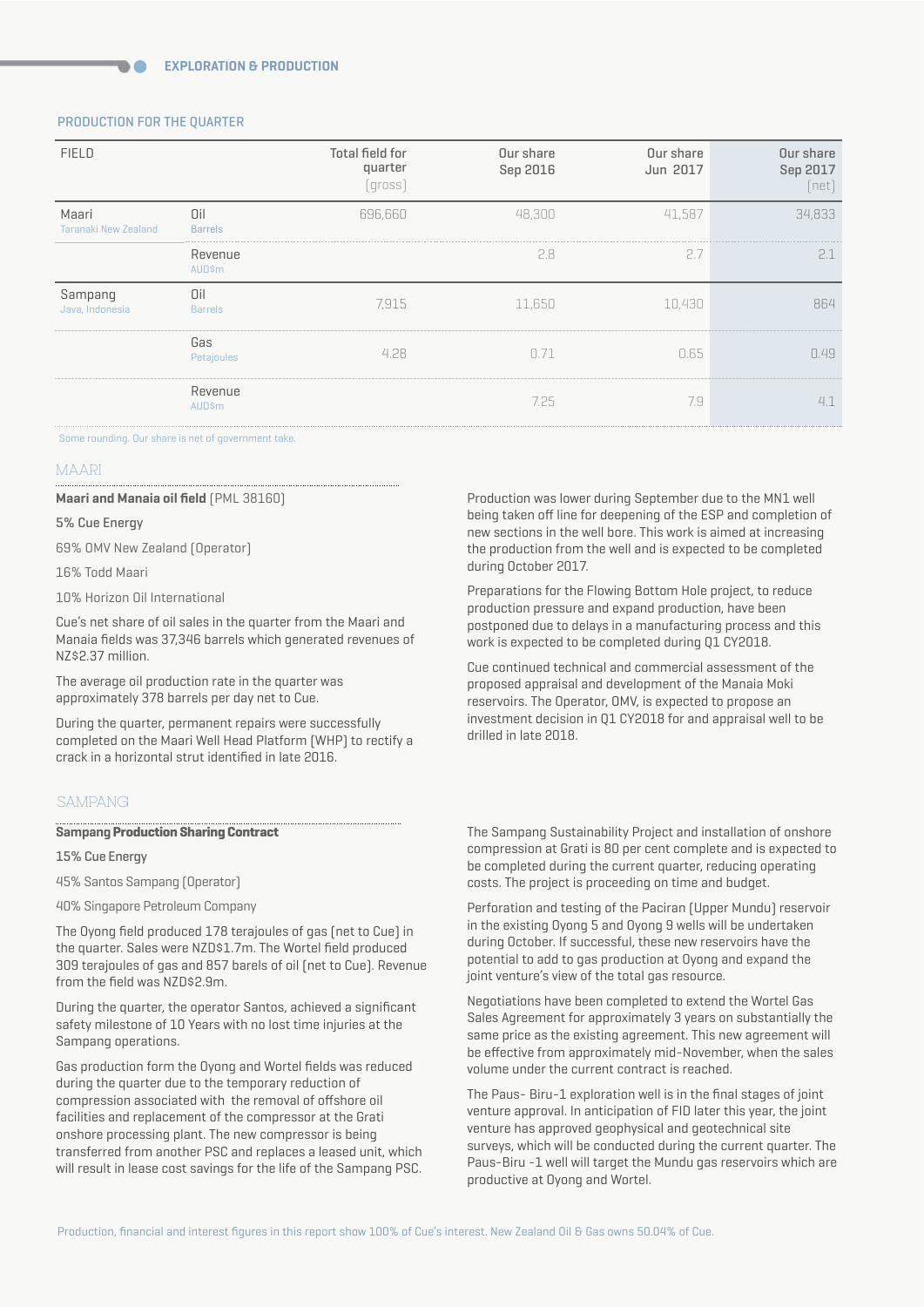## PRODUCTION FOR THE QUARTER

| <b>FIELD</b>                         |                          | Total field for<br>quarter<br>(gross) | Our share<br>Sep 2016 | Our share<br>Jun 2017 | Our share<br>Sep 2017<br>[net] |
|--------------------------------------|--------------------------|---------------------------------------|-----------------------|-----------------------|--------------------------------|
| Maari<br><b>Taranaki New Zealand</b> | Oil<br><b>Barrels</b>    | 696,660                               | 48,300                | 41,587                | 34,833                         |
|                                      | Revenue<br><b>AUD\$m</b> |                                       | 2.8                   | 2.7                   | 2.1                            |
| Sampang<br>Java, Indonesia           | Oil<br><b>Barrels</b>    | 7,915                                 | 11,650                | 10,430                | 864                            |
|                                      | Gas<br>Petajoules        | 4.28                                  | 0.71                  | 0.65                  | 0.49                           |
|                                      | Revenue<br>AUD\$m        |                                       | 7.25                  | 7.9                   | 4.1                            |

#### Some rounding. Our share is net of government take.

#### MAARI

#### **Maari and Manaia oil field** (PML 38160)

#### 5% Cue Energy

69% OMV New Zealand (Operator)

16% Todd Maari

10% Horizon Oil International

Cue's net share of oil sales in the quarter from the Maari and Manaia fields was 37,346 barrels which generated revenues of NZ\$2.37 million.

The average oil production rate in the quarter was approximately 378 barrels per day net to Cue.

During the quarter, permanent repairs were successfully completed on the Maari Well Head Platform (WHP) to rectify a crack in a horizontal strut identified in late 2016.

## SAMPANG

#### **Sampang Production Sharing Contract**

15% Cue Energy

45% Santos Sampang (Operator)

40% Singapore Petroleum Company

The Oyong field produced 178 terajoules of gas (net to Cue) in the quarter. Sales were NZD\$1.7m. The Wortel field produced 309 terajoules of gas and 857 barels of oil (net to Cue). Revenue from the field was NZD\$2.9m.

During the quarter, the operator Santos, achieved a significant safety milestone of 10 Years with no lost time injuries at the Sampang operations.

Gas production form the Oyong and Wortel fields was reduced during the quarter due to the temporary reduction of compression associated with the removal of offshore oil facilities and replacement of the compressor at the Grati onshore processing plant. The new compressor is being transferred from another PSC and replaces a leased unit, which will result in lease cost savings for the life of the Sampang PSC. Production was lower during September due to the MN1 well being taken off line for deepening of the ESP and completion of new sections in the well bore. This work is aimed at increasing the production from the well and is expected to be completed during October 2017.

Preparations for the Flowing Bottom Hole project, to reduce production pressure and expand production, have been postponed due to delays in a manufacturing process and this work is expected to be completed during Q1 CY2018.

Cue continued technical and commercial assessment of the proposed appraisal and development of the Manaia Moki reservoirs. The Operator, OMV, is expected to propose an investment decision in Q1 CY2018 for and appraisal well to be drilled in late 2018.

The Sampang Sustainability Project and installation of onshore compression at Grati is 80 per cent complete and is expected to be completed during the current quarter, reducing operating costs. The project is proceeding on time and budget.

Perforation and testing of the Paciran (Upper Mundu) reservoir in the existing Oyong 5 and Oyong 9 wells will be undertaken during October. If successful, these new reservoirs have the potential to add to gas production at Oyong and expand the joint venture's view of the total gas resource.

Negotiations have been completed to extend the Wortel Gas Sales Agreement for approximately 3 years on substantially the same price as the existing agreement. This new agreement will be effective from approximately mid-November, when the sales volume under the current contract is reached.

The Paus- Biru-1 exploration well is in the final stages of joint venture approval. In anticipation of FID later this year, the joint venture has approved geophysical and geotechnical site surveys, which will be conducted during the current quarter. The Paus-Biru -1 well will target the Mundu gas reservoirs which are productive at Oyong and Wortel.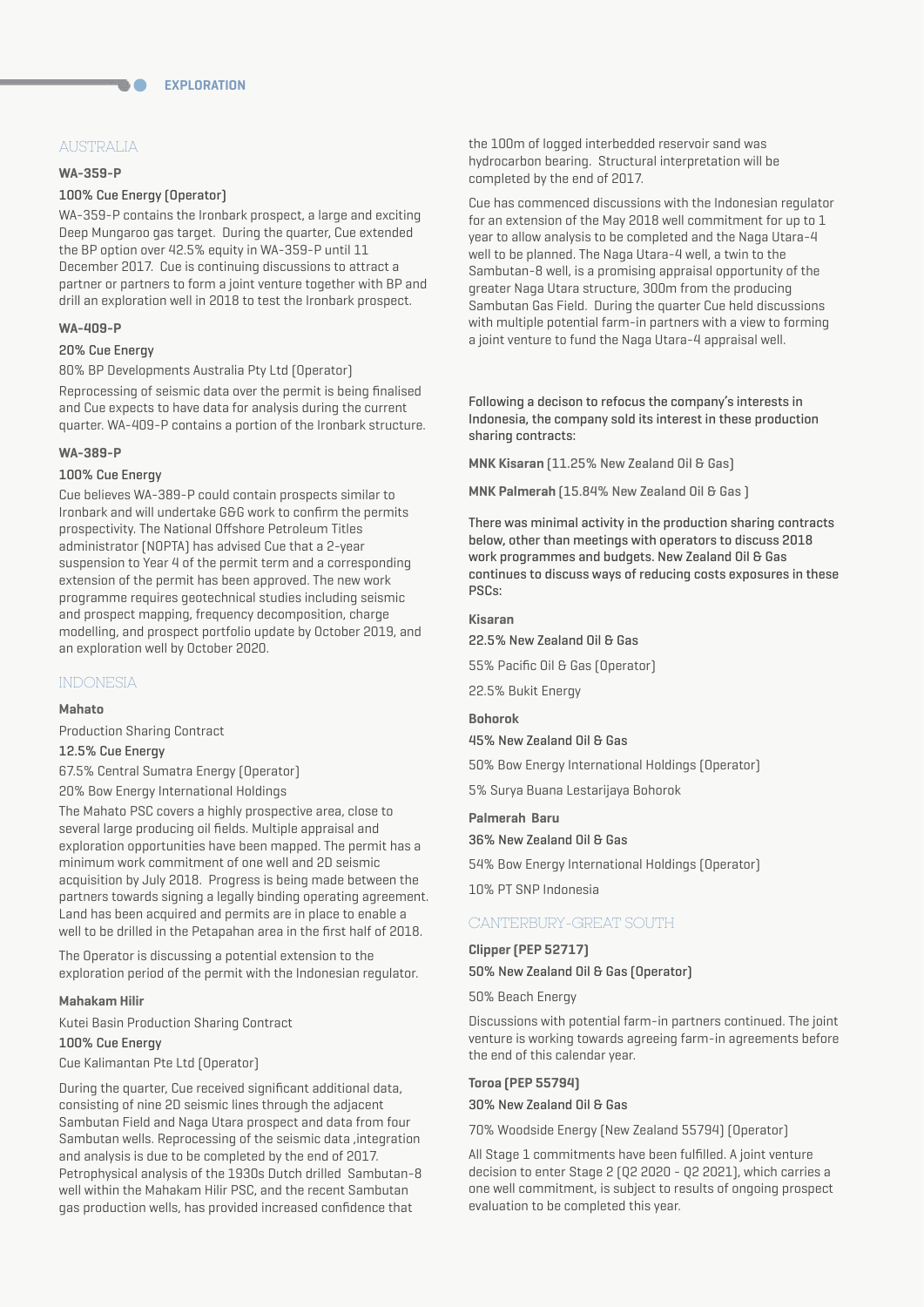# AUSTRALIA

#### **WA-359-P**

## 100% Cue Energy (Operator)

WA-359-P contains the Ironbark prospect, a large and exciting Deep Mungaroo gas target. During the quarter, Cue extended the BP option over 42.5% equity in WA-359-P until 11 December 2017. Cue is continuing discussions to attract a partner or partners to form a joint venture together with BP and drill an exploration well in 2018 to test the Ironbark prospect.

#### **WA-409-P**

## 20% Cue Energy

80% BP Developments Australia Pty Ltd (Operator) Reprocessing of seismic data over the permit is being finalised and Cue expects to have data for analysis during the current quarter. WA-409-P contains a portion of the Ironbark structure.

#### **WA-389-P**

## 100% Cue Energy

Cue believes WA-389-P could contain prospects similar to Ironbark and will undertake G&G work to confirm the permits prospectivity. The National Offshore Petroleum Titles administrator (NOPTA) has advised Cue that a 2-year suspension to Year 4 of the permit term and a corresponding extension of the permit has been approved. The new work programme requires geotechnical studies including seismic and prospect mapping, frequency decomposition, charge modelling, and prospect portfolio update by October 2019, and an exploration well by October 2020.

## INDONESIA

#### **Mahato**

Production Sharing Contract

# 12.5% Cue Energy

67.5% Central Sumatra Energy (Operator)

20% Bow Energy International Holdings

The Mahato PSC covers a highly prospective area, close to several large producing oil fields. Multiple appraisal and exploration opportunities have been mapped. The permit has a minimum work commitment of one well and 2D seismic acquisition by July 2018. Progress is being made between the partners towards signing a legally binding operating agreement. Land has been acquired and permits are in place to enable a well to be drilled in the Petapahan area in the first half of 2018.

The Operator is discussing a potential extension to the exploration period of the permit with the Indonesian regulator.

#### **Mahakam Hilir**

Kutei Basin Production Sharing Contract

## 100% Cue Energy

Cue Kalimantan Pte Ltd (Operator)

During the quarter, Cue received significant additional data, consisting of nine 2D seismic lines through the adjacent Sambutan Field and Naga Utara prospect and data from four Sambutan wells. Reprocessing of the seismic data ,integration and analysis is due to be completed by the end of 2017. Petrophysical analysis of the 1930s Dutch drilled Sambutan-8 well within the Mahakam Hilir PSC, and the recent Sambutan gas production wells, has provided increased confidence that

the 100m of logged interbedded reservoir sand was hydrocarbon bearing. Structural interpretation will be completed by the end of 2017.

Cue has commenced discussions with the Indonesian regulator for an extension of the May 2018 well commitment for up to 1 year to allow analysis to be completed and the Naga Utara-4 well to be planned. The Naga Utara-4 well, a twin to the Sambutan-8 well, is a promising appraisal opportunity of the greater Naga Utara structure, 300m from the producing Sambutan Gas Field. During the quarter Cue held discussions with multiple potential farm-in partners with a view to forming a joint venture to fund the Naga Utara-4 appraisal well.

Following a decison to refocus the company's interests in Indonesia, the company sold its interest in these production sharing contracts:

**MNK Kisaran** (11.25% New Zealand Oil & Gas)

**MNK Palmerah** (15.84% New Zealand Oil & Gas )

There was minimal activity in the production sharing contracts below, other than meetings with operators to discuss 2018 work programmes and budgets. New Zealand Oil & Gas continues to discuss ways of reducing costs exposures in these PSCs:

## **Kisaran**

22.5% New Zealand Oil & Gas

55% Pacific Oil & Gas (Operator)

22.5% Bukit Energy

#### **Bohorok**

45% New Zealand Oil & Gas

50% Bow Energy International Holdings (Operator)

5% Surya Buana Lestarijaya Bohorok

#### **Palmerah Baru**

36% New Zealand Oil & Gas

54% Bow Energy International Holdings (Operator)

10% PT SNP Indonesia

# CANTERBURY-GREAT SOUTH

#### **Clipper (PEP 52717)**

50% New Zealand Oil & Gas (Operator)

50% Beach Energy

Discussions with potential farm-in partners continued. The joint venture is working towards agreeing farm-in agreements before the end of this calendar year.

## **Toroa (PEP 55794)**

30% New Zealand Oil & Gas

70% Woodside Energy (New Zealand 55794) (Operator)

All Stage 1 commitments have been fulfilled. A joint venture decision to enter Stage 2 (Q2 2020 - Q2 2021), which carries a one well commitment, is subject to results of ongoing prospect evaluation to be completed this year.